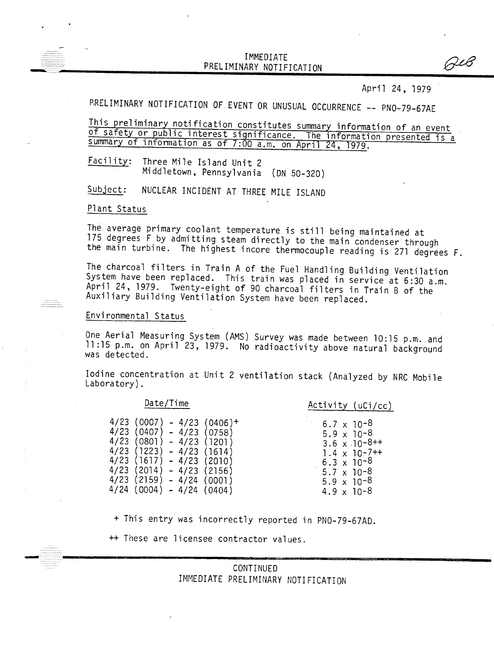### IMMEDIATE PRELIMINARY NOTIFICATIO

April 24, 1979

 $\beta$ L

PRELIMINARY NOTIFICATION OF EVENT OR UNUSUAL OCCURRENCE -- PNO-79-67AE

This preliminary notification constitutes summary information of an event of safety or public interest significance. The information presented is a summary of information as of 7:00 a.m. on April 24, 1979.

Facility: Three Mile Island Unit 2 Middletown, Pennsylvania (ON 50-320)

Subject: NUCLEAR INCIDENT AT THREE MILE ISLAND

Plant Status

The average primary coolant temperature is still being maintained at 175 degrees F by admitting steam directly to the main condenser through the main turbine. The highest incore thermocouple reading is 271 degrees F.

The charcoal filters in Train A of the Fuel Handling Building Ventilation System have been replaced. This train was placed in service at 6:30 a.m. April 24, 1979. Twenty-eight of 90 charcoal filters in Train B of the Auxiliary Building Ventilation System have been replaced.

#### Environmental Status

One Aerial Measuring System (AMS) Survey was made between 10:15 p.m. and 11 :15 p.m. on April 23, 1979. No radioactivity above natural background was detected.

Iodine concentration at Unit 2 ventilation stack (Analyzed by NRC Mobile Laboratory).

# Date/Time Activity (uCi/cc)

| $4/23$ (0007) - 4/23 (0406)+  | $6.7 \times 10^{-8}$   |
|-------------------------------|------------------------|
| $4/23$ (0407) - 4/23 (0758)   | $5.9 \times 10^{-8}$   |
| $4/23$ (0801) - 4/23 (1201)   | $3.6 \times 10^{-8++}$ |
| $4/23$ (1223) - 4/23 (1614)   | $1.4 \times 10^{-7++}$ |
| $4/23$ (1617) – $4/23$ (2010) | $6.3 \times 10^{-8}$   |
| 4/23 (2014) - 4/23 (2156)     | $5.7 \times 10^{-8}$   |
| $4/23$ (2159) – $4/24$ (0001) | $5.9 \times 10^{-8}$   |
| 4/24 (0004) - 4/24 (0404)     | $4.9 \times 10^{-8}$   |

+ This entry was incorrectly reported in PNO-79-67AD.

++ These are licensee contractor values.

## CONTINUED IMMEDIATE PRELIMINARY NOTIFICATION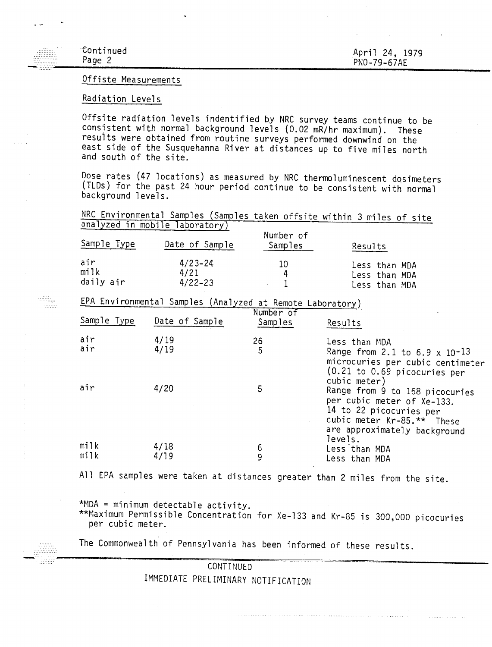#### Offiste Measurements

#### Radiation Levels

Offsite radiation levels indentified by NRC survey teams continue to be consistent with normal background levels (0.02 mR/hr maximum). These results were obtained from routine surveys performed downwind on the east side of the Susquehanna River at distances up to five miles north and south of the site.

Dose rates (47 locations) as measured by NRC thermoluminescent dosimeters (TLDs) for the past 24 hour period continue to be consistent with normal background levels.

NRC Environmental Samples (Samples taken offsite within 3 miles of site analyzed in mobile laboratory)

| Sample Type                                               | Date of Sample                     | Number of<br>Samples | Results                                         |  |  |  |
|-----------------------------------------------------------|------------------------------------|----------------------|-------------------------------------------------|--|--|--|
| air<br>mijk<br>daily air                                  | $4/23 - 24$<br>4/21<br>$4/22 - 23$ | 10<br>4              | Less than MDA<br>Less than MDA<br>Less than MDA |  |  |  |
| EPA Environmental Samples (Analyzed at Remote Laboratory) |                                    |                      |                                                 |  |  |  |
| $N$ umboy $of$                                            |                                    |                      |                                                 |  |  |  |

| Sample Type  | Date of Sample | NUMBET UT<br>Samples | Results                                                                                                                                                                          |
|--------------|----------------|----------------------|----------------------------------------------------------------------------------------------------------------------------------------------------------------------------------|
| air<br>air   | 4/19<br>4/19   | 26<br>5              | Less than MDA<br>Range from 2.1 to 6.9 $\times$ 10-13<br>microcuries per cubic centimeter<br>$(0.21)$ to 0.69 picocuries per                                                     |
| air          | 4/20           | 5                    | cubic meter)<br>Range from 9 to 168 picocuries<br>per cubic meter of Xe-133.<br>14 to 22 picocuries per<br>cubic meter Kr-85.** These<br>are approximately background<br>levels. |
| milk<br>milk | 4/18<br>4/19   | 6<br>9               | Less than MDA                                                                                                                                                                    |
|              |                |                      | Less than MDA                                                                                                                                                                    |

All EPA samples were taken at distances greater than 2 miles from the site.

\*MDA = minimum detectable activity.

\*\*Maximum Permissible Concentration for Xe-133 and Kr-85 is 300,000 picocuries per cubic meter.

The Commonwealth of Pennsylvania has been informed of these results.

CONTINUED IMMEDIATE PRELIMINARY NOTIFICATION